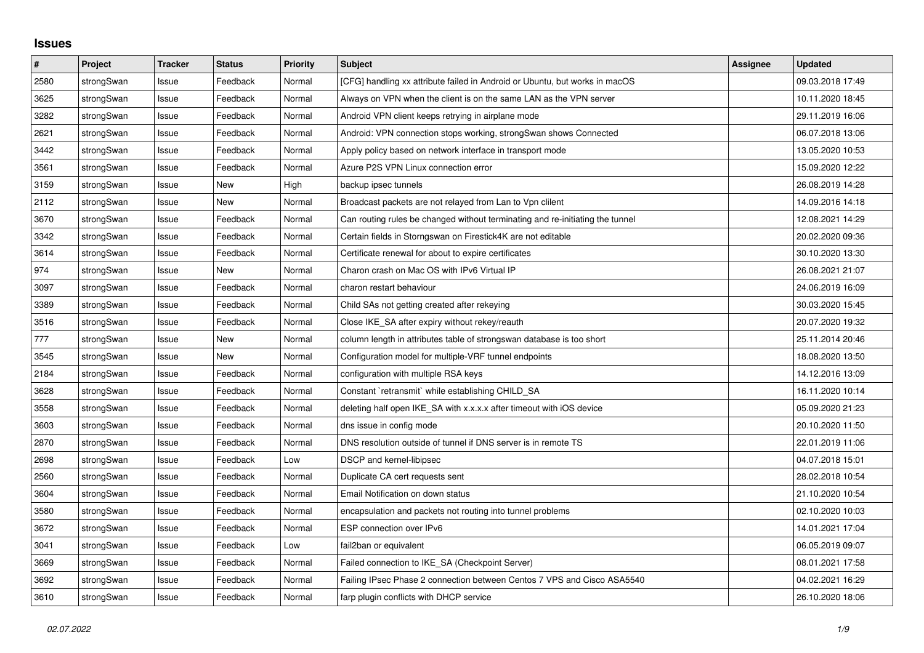## **Issues**

| #    | Project    | <b>Tracker</b> | <b>Status</b> | <b>Priority</b> | <b>Subject</b>                                                                | <b>Assignee</b> | <b>Updated</b>   |
|------|------------|----------------|---------------|-----------------|-------------------------------------------------------------------------------|-----------------|------------------|
| 2580 | strongSwan | Issue          | Feedback      | Normal          | [CFG] handling xx attribute failed in Android or Ubuntu, but works in macOS   |                 | 09.03.2018 17:49 |
| 3625 | strongSwan | Issue          | Feedback      | Normal          | Always on VPN when the client is on the same LAN as the VPN server            |                 | 10.11.2020 18:45 |
| 3282 | strongSwan | Issue          | Feedback      | Normal          | Android VPN client keeps retrying in airplane mode                            |                 | 29.11.2019 16:06 |
| 2621 | strongSwan | Issue          | Feedback      | Normal          | Android: VPN connection stops working, strongSwan shows Connected             |                 | 06.07.2018 13:06 |
| 3442 | strongSwan | Issue          | Feedback      | Normal          | Apply policy based on network interface in transport mode                     |                 | 13.05.2020 10:53 |
| 3561 | strongSwan | Issue          | Feedback      | Normal          | Azure P2S VPN Linux connection error                                          |                 | 15.09.2020 12:22 |
| 3159 | strongSwan | Issue          | <b>New</b>    | High            | backup ipsec tunnels                                                          |                 | 26.08.2019 14:28 |
| 2112 | strongSwan | Issue          | <b>New</b>    | Normal          | Broadcast packets are not relayed from Lan to Vpn clilent                     |                 | 14.09.2016 14:18 |
| 3670 | strongSwan | Issue          | Feedback      | Normal          | Can routing rules be changed without terminating and re-initiating the tunnel |                 | 12.08.2021 14:29 |
| 3342 | strongSwan | Issue          | Feedback      | Normal          | Certain fields in Storngswan on Firestick4K are not editable                  |                 | 20.02.2020 09:36 |
| 3614 | strongSwan | Issue          | Feedback      | Normal          | Certificate renewal for about to expire certificates                          |                 | 30.10.2020 13:30 |
| 974  | strongSwan | Issue          | New           | Normal          | Charon crash on Mac OS with IPv6 Virtual IP                                   |                 | 26.08.2021 21:07 |
| 3097 | strongSwan | Issue          | Feedback      | Normal          | charon restart behaviour                                                      |                 | 24.06.2019 16:09 |
| 3389 | strongSwan | Issue          | Feedback      | Normal          | Child SAs not getting created after rekeying                                  |                 | 30.03.2020 15:45 |
| 3516 | strongSwan | Issue          | Feedback      | Normal          | Close IKE SA after expiry without rekey/reauth                                |                 | 20.07.2020 19:32 |
| 777  | strongSwan | Issue          | New           | Normal          | column length in attributes table of strongswan database is too short         |                 | 25.11.2014 20:46 |
| 3545 | strongSwan | Issue          | New           | Normal          | Configuration model for multiple-VRF tunnel endpoints                         |                 | 18.08.2020 13:50 |
| 2184 | strongSwan | Issue          | Feedback      | Normal          | configuration with multiple RSA keys                                          |                 | 14.12.2016 13:09 |
| 3628 | strongSwan | Issue          | Feedback      | Normal          | Constant `retransmit` while establishing CHILD SA                             |                 | 16.11.2020 10:14 |
| 3558 | strongSwan | Issue          | Feedback      | Normal          | deleting half open IKE_SA with x.x.x.x after timeout with iOS device          |                 | 05.09.2020 21:23 |
| 3603 | strongSwan | Issue          | Feedback      | Normal          | dns issue in config mode                                                      |                 | 20.10.2020 11:50 |
| 2870 | strongSwan | Issue          | Feedback      | Normal          | DNS resolution outside of tunnel if DNS server is in remote TS                |                 | 22.01.2019 11:06 |
| 2698 | strongSwan | Issue          | Feedback      | Low             | <b>DSCP</b> and kernel-libipsec                                               |                 | 04.07.2018 15:01 |
| 2560 | strongSwan | Issue          | Feedback      | Normal          | Duplicate CA cert requests sent                                               |                 | 28.02.2018 10:54 |
| 3604 | strongSwan | Issue          | Feedback      | Normal          | Email Notification on down status                                             |                 | 21.10.2020 10:54 |
| 3580 | strongSwan | Issue          | Feedback      | Normal          | encapsulation and packets not routing into tunnel problems                    |                 | 02.10.2020 10:03 |
| 3672 | strongSwan | Issue          | Feedback      | Normal          | ESP connection over IPv6                                                      |                 | 14.01.2021 17:04 |
| 3041 | strongSwan | Issue          | Feedback      | Low             | fail2ban or equivalent                                                        |                 | 06.05.2019 09:07 |
| 3669 | strongSwan | Issue          | Feedback      | Normal          | Failed connection to IKE SA (Checkpoint Server)                               |                 | 08.01.2021 17:58 |
| 3692 | strongSwan | Issue          | Feedback      | Normal          | Failing IPsec Phase 2 connection between Centos 7 VPS and Cisco ASA5540       |                 | 04.02.2021 16:29 |
| 3610 | strongSwan | Issue          | Feedback      | Normal          | farp plugin conflicts with DHCP service                                       |                 | 26.10.2020 18:06 |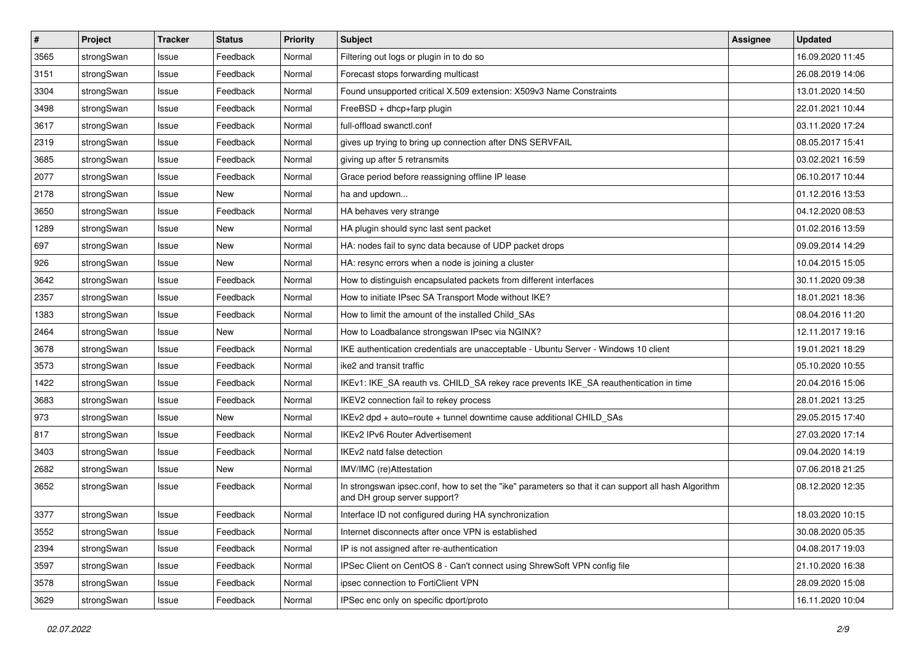| $\vert$ # | Project    | <b>Tracker</b> | <b>Status</b> | <b>Priority</b> | <b>Subject</b>                                                                                                                      | Assignee | <b>Updated</b>   |
|-----------|------------|----------------|---------------|-----------------|-------------------------------------------------------------------------------------------------------------------------------------|----------|------------------|
| 3565      | strongSwan | Issue          | Feedback      | Normal          | Filtering out logs or plugin in to do so                                                                                            |          | 16.09.2020 11:45 |
| 3151      | strongSwan | Issue          | Feedback      | Normal          | Forecast stops forwarding multicast                                                                                                 |          | 26.08.2019 14:06 |
| 3304      | strongSwan | Issue          | Feedback      | Normal          | Found unsupported critical X.509 extension: X509v3 Name Constraints                                                                 |          | 13.01.2020 14:50 |
| 3498      | strongSwan | Issue          | Feedback      | Normal          | FreeBSD + dhcp+farp plugin                                                                                                          |          | 22.01.2021 10:44 |
| 3617      | strongSwan | Issue          | Feedback      | Normal          | full-offload swanctl.conf                                                                                                           |          | 03.11.2020 17:24 |
| 2319      | strongSwan | Issue          | Feedback      | Normal          | gives up trying to bring up connection after DNS SERVFAIL                                                                           |          | 08.05.2017 15:41 |
| 3685      | strongSwan | Issue          | Feedback      | Normal          | giving up after 5 retransmits                                                                                                       |          | 03.02.2021 16:59 |
| 2077      | strongSwan | Issue          | Feedback      | Normal          | Grace period before reassigning offline IP lease                                                                                    |          | 06.10.2017 10:44 |
| 2178      | strongSwan | Issue          | New           | Normal          | ha and updown                                                                                                                       |          | 01.12.2016 13:53 |
| 3650      | strongSwan | Issue          | Feedback      | Normal          | HA behaves very strange                                                                                                             |          | 04.12.2020 08:53 |
| 1289      | strongSwan | Issue          | New           | Normal          | HA plugin should sync last sent packet                                                                                              |          | 01.02.2016 13:59 |
| 697       | strongSwan | Issue          | <b>New</b>    | Normal          | HA: nodes fail to sync data because of UDP packet drops                                                                             |          | 09.09.2014 14:29 |
| 926       | strongSwan | Issue          | New           | Normal          | HA: resync errors when a node is joining a cluster                                                                                  |          | 10.04.2015 15:05 |
| 3642      | strongSwan | Issue          | Feedback      | Normal          | How to distinguish encapsulated packets from different interfaces                                                                   |          | 30.11.2020 09:38 |
| 2357      | strongSwan | Issue          | Feedback      | Normal          | How to initiate IPsec SA Transport Mode without IKE?                                                                                |          | 18.01.2021 18:36 |
| 1383      | strongSwan | Issue          | Feedback      | Normal          | How to limit the amount of the installed Child SAs                                                                                  |          | 08.04.2016 11:20 |
| 2464      | strongSwan | Issue          | New           | Normal          | How to Loadbalance strongswan IPsec via NGINX?                                                                                      |          | 12.11.2017 19:16 |
| 3678      | strongSwan | Issue          | Feedback      | Normal          | IKE authentication credentials are unacceptable - Ubuntu Server - Windows 10 client                                                 |          | 19.01.2021 18:29 |
| 3573      | strongSwan | Issue          | Feedback      | Normal          | ike2 and transit traffic                                                                                                            |          | 05.10.2020 10:55 |
| 1422      | strongSwan | Issue          | Feedback      | Normal          | IKEv1: IKE_SA reauth vs. CHILD_SA rekey race prevents IKE_SA reauthentication in time                                               |          | 20.04.2016 15:06 |
| 3683      | strongSwan | Issue          | Feedback      | Normal          | IKEV2 connection fail to rekey process                                                                                              |          | 28.01.2021 13:25 |
| 973       | strongSwan | Issue          | New           | Normal          | IKEv2 dpd + auto=route + tunnel downtime cause additional CHILD_SAs                                                                 |          | 29.05.2015 17:40 |
| 817       | strongSwan | Issue          | Feedback      | Normal          | <b>IKEv2 IPv6 Router Advertisement</b>                                                                                              |          | 27.03.2020 17:14 |
| 3403      | strongSwan | lssue          | Feedback      | Normal          | IKEv2 natd false detection                                                                                                          |          | 09.04.2020 14:19 |
| 2682      | strongSwan | Issue          | New           | Normal          | IMV/IMC (re)Attestation                                                                                                             |          | 07.06.2018 21:25 |
| 3652      | strongSwan | Issue          | Feedback      | Normal          | In strongswan ipsec.conf, how to set the "ike" parameters so that it can support all hash Algorithm<br>and DH group server support? |          | 08.12.2020 12:35 |
| 3377      | strongSwan | Issue          | Feedback      | Normal          | Interface ID not configured during HA synchronization                                                                               |          | 18.03.2020 10:15 |
| 3552      | strongSwan | Issue          | Feedback      | Normal          | Internet disconnects after once VPN is established                                                                                  |          | 30.08.2020 05:35 |
| 2394      | strongSwan | Issue          | Feedback      | Normal          | IP is not assigned after re-authentication                                                                                          |          | 04.08.2017 19:03 |
| 3597      | strongSwan | Issue          | Feedback      | Normal          | IPSec Client on CentOS 8 - Can't connect using ShrewSoft VPN config file                                                            |          | 21.10.2020 16:38 |
| 3578      | strongSwan | Issue          | Feedback      | Normal          | ipsec connection to FortiClient VPN                                                                                                 |          | 28.09.2020 15:08 |
| 3629      | strongSwan | Issue          | Feedback      | Normal          | IPSec enc only on specific dport/proto                                                                                              |          | 16.11.2020 10:04 |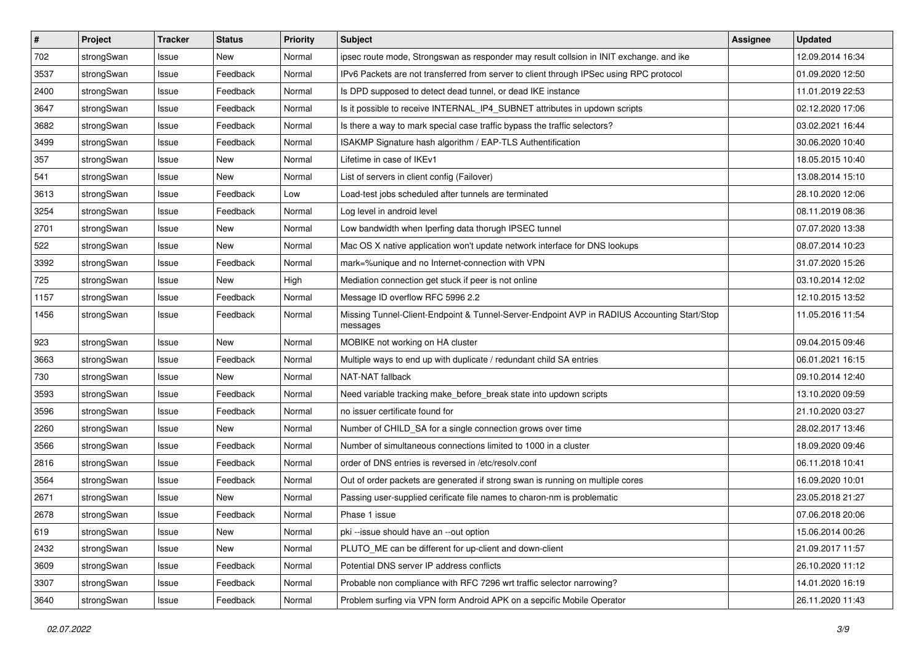| $\vert$ # | Project    | <b>Tracker</b> | <b>Status</b> | <b>Priority</b> | <b>Subject</b>                                                                                          | Assignee | <b>Updated</b>   |
|-----------|------------|----------------|---------------|-----------------|---------------------------------------------------------------------------------------------------------|----------|------------------|
| 702       | strongSwan | Issue          | New           | Normal          | ipsec route mode, Strongswan as responder may result collsion in INIT exchange, and ike                 |          | 12.09.2014 16:34 |
| 3537      | strongSwan | Issue          | Feedback      | Normal          | IPv6 Packets are not transferred from server to client through IPSec using RPC protocol                 |          | 01.09.2020 12:50 |
| 2400      | strongSwan | Issue          | Feedback      | Normal          | Is DPD supposed to detect dead tunnel, or dead IKE instance                                             |          | 11.01.2019 22:53 |
| 3647      | strongSwan | Issue          | Feedback      | Normal          | Is it possible to receive INTERNAL_IP4_SUBNET attributes in updown scripts                              |          | 02.12.2020 17:06 |
| 3682      | strongSwan | Issue          | Feedback      | Normal          | Is there a way to mark special case traffic bypass the traffic selectors?                               |          | 03.02.2021 16:44 |
| 3499      | strongSwan | Issue          | Feedback      | Normal          | ISAKMP Signature hash algorithm / EAP-TLS Authentification                                              |          | 30.06.2020 10:40 |
| 357       | strongSwan | Issue          | New           | Normal          | Lifetime in case of IKEv1                                                                               |          | 18.05.2015 10:40 |
| 541       | strongSwan | Issue          | New           | Normal          | List of servers in client config (Failover)                                                             |          | 13.08.2014 15:10 |
| 3613      | strongSwan | Issue          | Feedback      | Low             | Load-test jobs scheduled after tunnels are terminated                                                   |          | 28.10.2020 12:06 |
| 3254      | strongSwan | Issue          | Feedback      | Normal          | Log level in android level                                                                              |          | 08.11.2019 08:36 |
| 2701      | strongSwan | Issue          | New           | Normal          | Low bandwidth when Iperfing data thorugh IPSEC tunnel                                                   |          | 07.07.2020 13:38 |
| 522       | strongSwan | Issue          | New           | Normal          | Mac OS X native application won't update network interface for DNS lookups                              |          | 08.07.2014 10:23 |
| 3392      | strongSwan | Issue          | Feedback      | Normal          | mark=%unique and no Internet-connection with VPN                                                        |          | 31.07.2020 15:26 |
| 725       | strongSwan | lssue          | New           | High            | Mediation connection get stuck if peer is not online                                                    |          | 03.10.2014 12:02 |
| 1157      | strongSwan | Issue          | Feedback      | Normal          | Message ID overflow RFC 5996 2.2                                                                        |          | 12.10.2015 13:52 |
| 1456      | strongSwan | Issue          | Feedback      | Normal          | Missing Tunnel-Client-Endpoint & Tunnel-Server-Endpoint AVP in RADIUS Accounting Start/Stop<br>messages |          | 11.05.2016 11:54 |
| 923       | strongSwan | Issue          | <b>New</b>    | Normal          | MOBIKE not working on HA cluster                                                                        |          | 09.04.2015 09:46 |
| 3663      | strongSwan | Issue          | Feedback      | Normal          | Multiple ways to end up with duplicate / redundant child SA entries                                     |          | 06.01.2021 16:15 |
| 730       | strongSwan | Issue          | New           | Normal          | NAT-NAT fallback                                                                                        |          | 09.10.2014 12:40 |
| 3593      | strongSwan | Issue          | Feedback      | Normal          | Need variable tracking make_before_break state into updown scripts                                      |          | 13.10.2020 09:59 |
| 3596      | strongSwan | lssue          | Feedback      | Normal          | no issuer certificate found for                                                                         |          | 21.10.2020 03:27 |
| 2260      | strongSwan | Issue          | New           | Normal          | Number of CHILD_SA for a single connection grows over time                                              |          | 28.02.2017 13:46 |
| 3566      | strongSwan | Issue          | Feedback      | Normal          | Number of simultaneous connections limited to 1000 in a cluster                                         |          | 18.09.2020 09:46 |
| 2816      | strongSwan | Issue          | Feedback      | Normal          | order of DNS entries is reversed in /etc/resolv.conf                                                    |          | 06.11.2018 10:41 |
| 3564      | strongSwan | Issue          | Feedback      | Normal          | Out of order packets are generated if strong swan is running on multiple cores                          |          | 16.09.2020 10:01 |
| 2671      | strongSwan | Issue          | New           | Normal          | Passing user-supplied cerificate file names to charon-nm is problematic                                 |          | 23.05.2018 21:27 |
| 2678      | strongSwan | Issue          | Feedback      | Normal          | Phase 1 issue                                                                                           |          | 07.06.2018 20:06 |
| 619       | strongSwan | Issue          | New           | Normal          | pki --issue should have an --out option                                                                 |          | 15.06.2014 00:26 |
| 2432      | strongSwan | Issue          | New           | Normal          | PLUTO_ME can be different for up-client and down-client                                                 |          | 21.09.2017 11:57 |
| 3609      | strongSwan | Issue          | Feedback      | Normal          | Potential DNS server IP address conflicts                                                               |          | 26.10.2020 11:12 |
| 3307      | strongSwan | Issue          | Feedback      | Normal          | Probable non compliance with RFC 7296 wrt traffic selector narrowing?                                   |          | 14.01.2020 16:19 |
| 3640      | strongSwan | Issue          | Feedback      | Normal          | Problem surfing via VPN form Android APK on a sepcific Mobile Operator                                  |          | 26.11.2020 11:43 |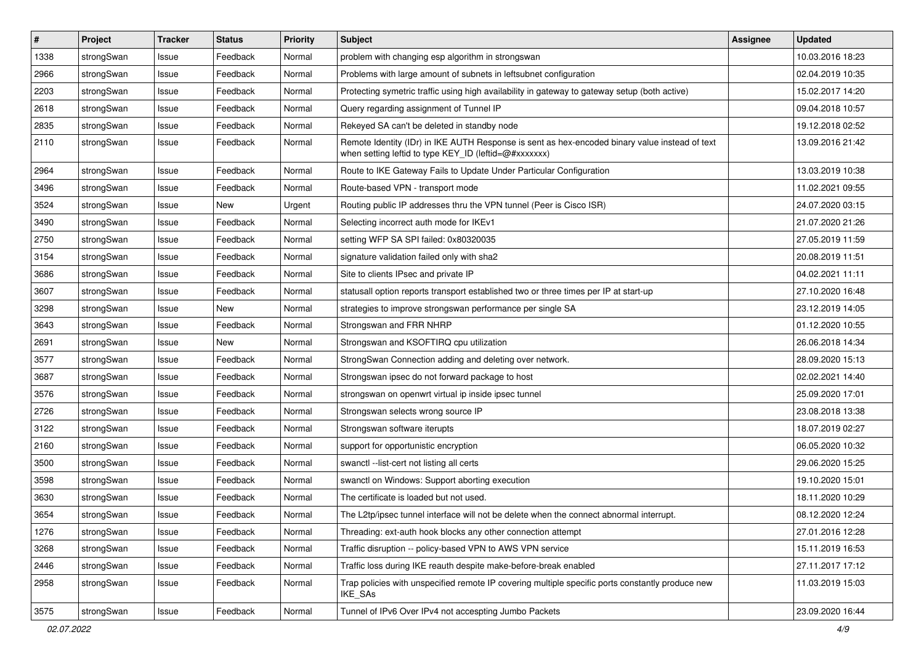| $\pmb{\#}$ | Project    | <b>Tracker</b> | <b>Status</b> | <b>Priority</b> | Subject                                                                                                                                                 | <b>Assignee</b> | <b>Updated</b>   |
|------------|------------|----------------|---------------|-----------------|---------------------------------------------------------------------------------------------------------------------------------------------------------|-----------------|------------------|
| 1338       | strongSwan | Issue          | Feedback      | Normal          | problem with changing esp algorithm in strongswan                                                                                                       |                 | 10.03.2016 18:23 |
| 2966       | strongSwan | Issue          | Feedback      | Normal          | Problems with large amount of subnets in leftsubnet configuration                                                                                       |                 | 02.04.2019 10:35 |
| 2203       | strongSwan | Issue          | Feedback      | Normal          | Protecting symetric traffic using high availability in gateway to gateway setup (both active)                                                           |                 | 15.02.2017 14:20 |
| 2618       | strongSwan | Issue          | Feedback      | Normal          | Query regarding assignment of Tunnel IP                                                                                                                 |                 | 09.04.2018 10:57 |
| 2835       | strongSwan | Issue          | Feedback      | Normal          | Rekeyed SA can't be deleted in standby node                                                                                                             |                 | 19.12.2018 02:52 |
| 2110       | strongSwan | Issue          | Feedback      | Normal          | Remote Identity (IDr) in IKE AUTH Response is sent as hex-encoded binary value instead of text<br>when setting leftid to type KEY_ID (leftid=@#xxxxxxx) |                 | 13.09.2016 21:42 |
| 2964       | strongSwan | Issue          | Feedback      | Normal          | Route to IKE Gateway Fails to Update Under Particular Configuration                                                                                     |                 | 13.03.2019 10:38 |
| 3496       | strongSwan | Issue          | Feedback      | Normal          | Route-based VPN - transport mode                                                                                                                        |                 | 11.02.2021 09:55 |
| 3524       | strongSwan | Issue          | New           | Urgent          | Routing public IP addresses thru the VPN tunnel (Peer is Cisco ISR)                                                                                     |                 | 24.07.2020 03:15 |
| 3490       | strongSwan | Issue          | Feedback      | Normal          | Selecting incorrect auth mode for IKEv1                                                                                                                 |                 | 21.07.2020 21:26 |
| 2750       | strongSwan | Issue          | Feedback      | Normal          | setting WFP SA SPI failed: 0x80320035                                                                                                                   |                 | 27.05.2019 11:59 |
| 3154       | strongSwan | Issue          | Feedback      | Normal          | signature validation failed only with sha2                                                                                                              |                 | 20.08.2019 11:51 |
| 3686       | strongSwan | Issue          | Feedback      | Normal          | Site to clients IPsec and private IP                                                                                                                    |                 | 04.02.2021 11:11 |
| 3607       | strongSwan | Issue          | Feedback      | Normal          | statusall option reports transport established two or three times per IP at start-up                                                                    |                 | 27.10.2020 16:48 |
| 3298       | strongSwan | Issue          | New           | Normal          | strategies to improve strongswan performance per single SA                                                                                              |                 | 23.12.2019 14:05 |
| 3643       | strongSwan | Issue          | Feedback      | Normal          | Strongswan and FRR NHRP                                                                                                                                 |                 | 01.12.2020 10:55 |
| 2691       | strongSwan | Issue          | New           | Normal          | Strongswan and KSOFTIRQ cpu utilization                                                                                                                 |                 | 26.06.2018 14:34 |
| 3577       | strongSwan | Issue          | Feedback      | Normal          | StrongSwan Connection adding and deleting over network.                                                                                                 |                 | 28.09.2020 15:13 |
| 3687       | strongSwan | Issue          | Feedback      | Normal          | Strongswan ipsec do not forward package to host                                                                                                         |                 | 02.02.2021 14:40 |
| 3576       | strongSwan | Issue          | Feedback      | Normal          | strongswan on openwrt virtual ip inside ipsec tunnel                                                                                                    |                 | 25.09.2020 17:01 |
| 2726       | strongSwan | Issue          | Feedback      | Normal          | Strongswan selects wrong source IP                                                                                                                      |                 | 23.08.2018 13:38 |
| 3122       | strongSwan | Issue          | Feedback      | Normal          | Strongswan software iterupts                                                                                                                            |                 | 18.07.2019 02:27 |
| 2160       | strongSwan | Issue          | Feedback      | Normal          | support for opportunistic encryption                                                                                                                    |                 | 06.05.2020 10:32 |
| 3500       | strongSwan | Issue          | Feedback      | Normal          | swanctl --list-cert not listing all certs                                                                                                               |                 | 29.06.2020 15:25 |
| 3598       | strongSwan | Issue          | Feedback      | Normal          | swanctl on Windows: Support aborting execution                                                                                                          |                 | 19.10.2020 15:01 |
| 3630       | strongSwan | Issue          | Feedback      | Normal          | The certificate is loaded but not used.                                                                                                                 |                 | 18.11.2020 10:29 |
| 3654       | strongSwan | Issue          | Feedback      | Normal          | The L2tp/ipsec tunnel interface will not be delete when the connect abnormal interrupt.                                                                 |                 | 08.12.2020 12:24 |
| 1276       | strongSwan | Issue          | Feedback      | Normal          | Threading: ext-auth hook blocks any other connection attempt                                                                                            |                 | 27.01.2016 12:28 |
| 3268       | strongSwan | Issue          | Feedback      | Normal          | Traffic disruption -- policy-based VPN to AWS VPN service                                                                                               |                 | 15.11.2019 16:53 |
| 2446       | strongSwan | Issue          | Feedback      | Normal          | Traffic loss during IKE reauth despite make-before-break enabled                                                                                        |                 | 27.11.2017 17:12 |
| 2958       | strongSwan | Issue          | Feedback      | Normal          | Trap policies with unspecified remote IP covering multiple specific ports constantly produce new<br>IKE_SAs                                             |                 | 11.03.2019 15:03 |
| 3575       | strongSwan | Issue          | Feedback      | Normal          | Tunnel of IPv6 Over IPv4 not accespting Jumbo Packets                                                                                                   |                 | 23.09.2020 16:44 |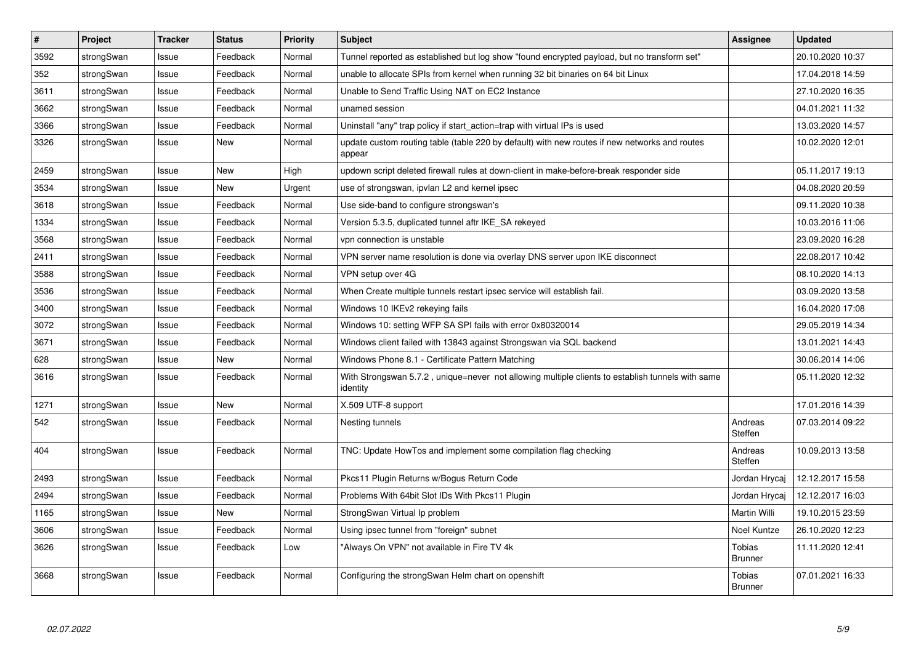| $\vert$ # | Project    | <b>Tracker</b> | <b>Status</b> | Priority | <b>Subject</b>                                                                                               | Assignee                 | <b>Updated</b>   |
|-----------|------------|----------------|---------------|----------|--------------------------------------------------------------------------------------------------------------|--------------------------|------------------|
| 3592      | strongSwan | Issue          | Feedback      | Normal   | Tunnel reported as established but log show "found encrypted payload, but no transform set"                  |                          | 20.10.2020 10:37 |
| 352       | strongSwan | Issue          | Feedback      | Normal   | unable to allocate SPIs from kernel when running 32 bit binaries on 64 bit Linux                             |                          | 17.04.2018 14:59 |
| 3611      | strongSwan | Issue          | Feedback      | Normal   | Unable to Send Traffic Using NAT on EC2 Instance                                                             |                          | 27.10.2020 16:35 |
| 3662      | strongSwan | Issue          | Feedback      | Normal   | unamed session                                                                                               |                          | 04.01.2021 11:32 |
| 3366      | strongSwan | Issue          | Feedback      | Normal   | Uninstall "any" trap policy if start_action=trap with virtual IPs is used                                    |                          | 13.03.2020 14:57 |
| 3326      | strongSwan | Issue          | New           | Normal   | update custom routing table (table 220 by default) with new routes if new networks and routes<br>appear      |                          | 10.02.2020 12:01 |
| 2459      | strongSwan | Issue          | <b>New</b>    | High     | updown script deleted firewall rules at down-client in make-before-break responder side                      |                          | 05.11.2017 19:13 |
| 3534      | strongSwan | Issue          | New           | Urgent   | use of strongswan, ipvlan L2 and kernel ipsec                                                                |                          | 04.08.2020 20:59 |
| 3618      | strongSwan | Issue          | Feedback      | Normal   | Use side-band to configure strongswan's                                                                      |                          | 09.11.2020 10:38 |
| 1334      | strongSwan | Issue          | Feedback      | Normal   | Version 5.3.5, duplicated tunnel aftr IKE SA rekeyed                                                         |                          | 10.03.2016 11:06 |
| 3568      | strongSwan | Issue          | Feedback      | Normal   | vpn connection is unstable                                                                                   |                          | 23.09.2020 16:28 |
| 2411      | strongSwan | Issue          | Feedback      | Normal   | VPN server name resolution is done via overlay DNS server upon IKE disconnect                                |                          | 22.08.2017 10:42 |
| 3588      | strongSwan | Issue          | Feedback      | Normal   | VPN setup over 4G                                                                                            |                          | 08.10.2020 14:13 |
| 3536      | strongSwan | Issue          | Feedback      | Normal   | When Create multiple tunnels restart ipsec service will establish fail.                                      |                          | 03.09.2020 13:58 |
| 3400      | strongSwan | Issue          | Feedback      | Normal   | Windows 10 IKEv2 rekeying fails                                                                              |                          | 16.04.2020 17:08 |
| 3072      | strongSwan | Issue          | Feedback      | Normal   | Windows 10: setting WFP SA SPI fails with error 0x80320014                                                   |                          | 29.05.2019 14:34 |
| 3671      | strongSwan | Issue          | Feedback      | Normal   | Windows client failed with 13843 against Strongswan via SQL backend                                          |                          | 13.01.2021 14:43 |
| 628       | strongSwan | Issue          | <b>New</b>    | Normal   | Windows Phone 8.1 - Certificate Pattern Matching                                                             |                          | 30.06.2014 14:06 |
| 3616      | strongSwan | Issue          | Feedback      | Normal   | With Strongswan 5.7.2, unique=never not allowing multiple clients to establish tunnels with same<br>identity |                          | 05.11.2020 12:32 |
| 1271      | strongSwan | Issue          | <b>New</b>    | Normal   | X.509 UTF-8 support                                                                                          |                          | 17.01.2016 14:39 |
| 542       | strongSwan | Issue          | Feedback      | Normal   | Nesting tunnels                                                                                              | Andreas<br>Steffen       | 07.03.2014 09:22 |
| 404       | strongSwan | Issue          | Feedback      | Normal   | TNC: Update HowTos and implement some compilation flag checking                                              | Andreas<br>Steffen       | 10.09.2013 13:58 |
| 2493      | strongSwan | Issue          | Feedback      | Normal   | Pkcs11 Plugin Returns w/Bogus Return Code                                                                    | Jordan Hrycaj            | 12.12.2017 15:58 |
| 2494      | strongSwan | Issue          | Feedback      | Normal   | Problems With 64bit Slot IDs With Pkcs11 Plugin                                                              | Jordan Hrycaj            | 12.12.2017 16:03 |
| 1165      | strongSwan | Issue          | <b>New</b>    | Normal   | StrongSwan Virtual Ip problem                                                                                | Martin Willi             | 19.10.2015 23:59 |
| 3606      | strongSwan | Issue          | Feedback      | Normal   | Using ipsec tunnel from "foreign" subnet                                                                     | Noel Kuntze              | 26.10.2020 12:23 |
| 3626      | strongSwan | Issue          | Feedback      | Low      | "Always On VPN" not available in Fire TV 4k                                                                  | Tobias<br><b>Brunner</b> | 11.11.2020 12:41 |
| 3668      | strongSwan | Issue          | Feedback      | Normal   | Configuring the strongSwan Helm chart on openshift                                                           | Tobias<br><b>Brunner</b> | 07.01.2021 16:33 |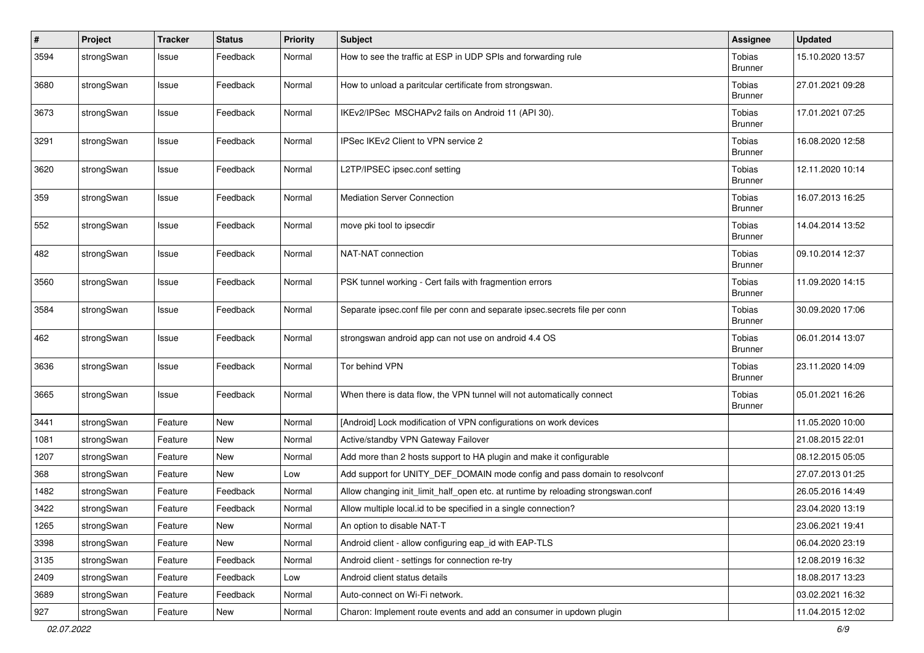| $\sharp$ | Project    | <b>Tracker</b> | <b>Status</b> | <b>Priority</b> | <b>Subject</b>                                                                   | Assignee                 | <b>Updated</b>   |
|----------|------------|----------------|---------------|-----------------|----------------------------------------------------------------------------------|--------------------------|------------------|
| 3594     | strongSwan | Issue          | Feedback      | Normal          | How to see the traffic at ESP in UDP SPIs and forwarding rule                    | Tobias<br><b>Brunner</b> | 15.10.2020 13:57 |
| 3680     | strongSwan | Issue          | Feedback      | Normal          | How to unload a paritcular certificate from strongswan.                          | Tobias<br><b>Brunner</b> | 27.01.2021 09:28 |
| 3673     | strongSwan | Issue          | Feedback      | Normal          | IKEv2/IPSec MSCHAPv2 fails on Android 11 (API 30).                               | Tobias<br><b>Brunner</b> | 17.01.2021 07:25 |
| 3291     | strongSwan | Issue          | Feedback      | Normal          | IPSec IKEv2 Client to VPN service 2                                              | Tobias<br><b>Brunner</b> | 16.08.2020 12:58 |
| 3620     | strongSwan | Issue          | Feedback      | Normal          | L2TP/IPSEC ipsec.conf setting                                                    | Tobias<br><b>Brunner</b> | 12.11.2020 10:14 |
| 359      | strongSwan | Issue          | Feedback      | Normal          | <b>Mediation Server Connection</b>                                               | Tobias<br><b>Brunner</b> | 16.07.2013 16:25 |
| 552      | strongSwan | Issue          | Feedback      | Normal          | move pki tool to ipsecdir                                                        | Tobias<br><b>Brunner</b> | 14.04.2014 13:52 |
| 482      | strongSwan | Issue          | Feedback      | Normal          | NAT-NAT connection                                                               | Tobias<br><b>Brunner</b> | 09.10.2014 12:37 |
| 3560     | strongSwan | Issue          | Feedback      | Normal          | PSK tunnel working - Cert fails with fragmention errors                          | Tobias<br><b>Brunner</b> | 11.09.2020 14:15 |
| 3584     | strongSwan | Issue          | Feedback      | Normal          | Separate ipsec.conf file per conn and separate ipsec.secrets file per conn       | Tobias<br><b>Brunner</b> | 30.09.2020 17:06 |
| 462      | strongSwan | Issue          | Feedback      | Normal          | strongswan android app can not use on android 4.4 OS                             | Tobias<br><b>Brunner</b> | 06.01.2014 13:07 |
| 3636     | strongSwan | Issue          | Feedback      | Normal          | Tor behind VPN                                                                   | Tobias<br><b>Brunner</b> | 23.11.2020 14:09 |
| 3665     | strongSwan | Issue          | Feedback      | Normal          | When there is data flow, the VPN tunnel will not automatically connect           | Tobias<br><b>Brunner</b> | 05.01.2021 16:26 |
| 3441     | strongSwan | Feature        | <b>New</b>    | Normal          | [Android] Lock modification of VPN configurations on work devices                |                          | 11.05.2020 10:00 |
| 1081     | strongSwan | Feature        | New           | Normal          | Active/standby VPN Gateway Failover                                              |                          | 21.08.2015 22:01 |
| 1207     | strongSwan | Feature        | <b>New</b>    | Normal          | Add more than 2 hosts support to HA plugin and make it configurable              |                          | 08.12.2015 05:05 |
| 368      | strongSwan | Feature        | New           | Low             | Add support for UNITY_DEF_DOMAIN mode config and pass domain to resolvconf       |                          | 27.07.2013 01:25 |
| 1482     | strongSwan | Feature        | Feedback      | Normal          | Allow changing init_limit_half_open etc. at runtime by reloading strongswan.conf |                          | 26.05.2016 14:49 |
| 3422     | strongSwan | Feature        | Feedback      | Normal          | Allow multiple local.id to be specified in a single connection?                  |                          | 23.04.2020 13:19 |
| 1265     | strongSwan | Feature        | New           | Normal          | An option to disable NAT-T                                                       |                          | 23.06.2021 19:41 |
| 3398     | strongSwan | Feature        | New           | Normal          | Android client - allow configuring eap_id with EAP-TLS                           |                          | 06.04.2020 23:19 |
| 3135     | strongSwan | Feature        | Feedback      | Normal          | Android client - settings for connection re-try                                  |                          | 12.08.2019 16:32 |
| 2409     | strongSwan | Feature        | Feedback      | Low             | Android client status details                                                    |                          | 18.08.2017 13:23 |
| 3689     | strongSwan | Feature        | Feedback      | Normal          | Auto-connect on Wi-Fi network.                                                   |                          | 03.02.2021 16:32 |
| 927      | strongSwan | Feature        | New           | Normal          | Charon: Implement route events and add an consumer in updown plugin              |                          | 11.04.2015 12:02 |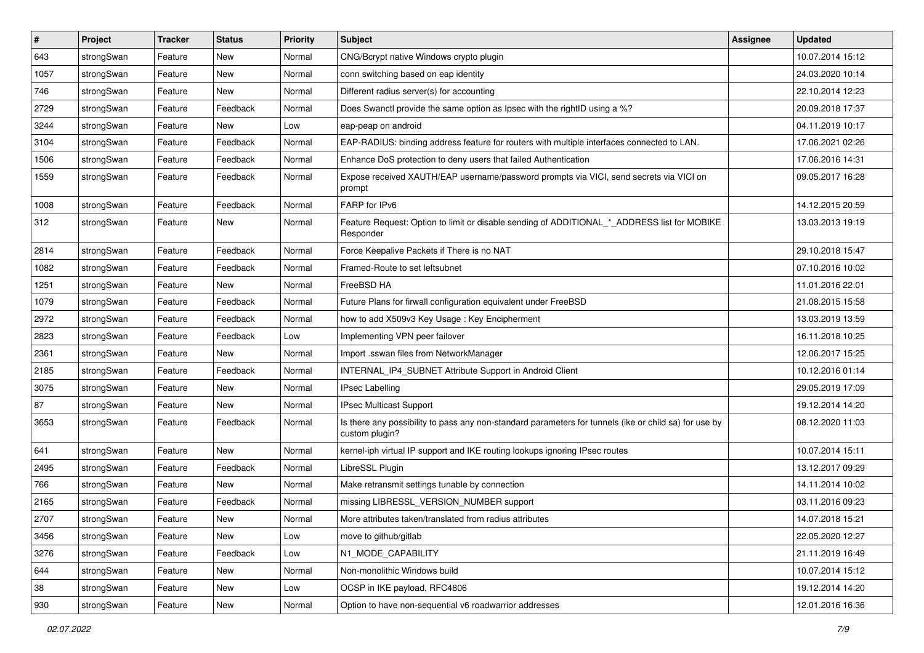| $\pmb{\#}$ | Project    | <b>Tracker</b> | <b>Status</b> | <b>Priority</b> | <b>Subject</b>                                                                                                          | <b>Assignee</b> | <b>Updated</b>   |
|------------|------------|----------------|---------------|-----------------|-------------------------------------------------------------------------------------------------------------------------|-----------------|------------------|
| 643        | strongSwan | Feature        | New           | Normal          | CNG/Bcrypt native Windows crypto plugin                                                                                 |                 | 10.07.2014 15:12 |
| 1057       | strongSwan | Feature        | New           | Normal          | conn switching based on eap identity                                                                                    |                 | 24.03.2020 10:14 |
| 746        | strongSwan | Feature        | New           | Normal          | Different radius server(s) for accounting                                                                               |                 | 22.10.2014 12:23 |
| 2729       | strongSwan | Feature        | Feedback      | Normal          | Does Swanctl provide the same option as Ipsec with the rightID using a %?                                               |                 | 20.09.2018 17:37 |
| 3244       | strongSwan | Feature        | New           | Low             | eap-peap on android                                                                                                     |                 | 04.11.2019 10:17 |
| 3104       | strongSwan | Feature        | Feedback      | Normal          | EAP-RADIUS: binding address feature for routers with multiple interfaces connected to LAN.                              |                 | 17.06.2021 02:26 |
| 1506       | strongSwan | Feature        | Feedback      | Normal          | Enhance DoS protection to deny users that failed Authentication                                                         |                 | 17.06.2016 14:31 |
| 1559       | strongSwan | Feature        | Feedback      | Normal          | Expose received XAUTH/EAP username/password prompts via VICI, send secrets via VICI on<br>prompt                        |                 | 09.05.2017 16:28 |
| 1008       | strongSwan | Feature        | Feedback      | Normal          | FARP for IPv6                                                                                                           |                 | 14.12.2015 20:59 |
| 312        | strongSwan | Feature        | New           | Normal          | Feature Request: Option to limit or disable sending of ADDITIONAL_*_ADDRESS list for MOBIKE<br>Responder                |                 | 13.03.2013 19:19 |
| 2814       | strongSwan | Feature        | Feedback      | Normal          | Force Keepalive Packets if There is no NAT                                                                              |                 | 29.10.2018 15:47 |
| 1082       | strongSwan | Feature        | Feedback      | Normal          | Framed-Route to set leftsubnet                                                                                          |                 | 07.10.2016 10:02 |
| 1251       | strongSwan | Feature        | New           | Normal          | FreeBSD HA                                                                                                              |                 | 11.01.2016 22:01 |
| 1079       | strongSwan | Feature        | Feedback      | Normal          | Future Plans for firwall configuration equivalent under FreeBSD                                                         |                 | 21.08.2015 15:58 |
| 2972       | strongSwan | Feature        | Feedback      | Normal          | how to add X509v3 Key Usage: Key Encipherment                                                                           |                 | 13.03.2019 13:59 |
| 2823       | strongSwan | Feature        | Feedback      | Low             | Implementing VPN peer failover                                                                                          |                 | 16.11.2018 10:25 |
| 2361       | strongSwan | Feature        | New           | Normal          | Import .sswan files from NetworkManager                                                                                 |                 | 12.06.2017 15:25 |
| 2185       | strongSwan | Feature        | Feedback      | Normal          | INTERNAL_IP4_SUBNET Attribute Support in Android Client                                                                 |                 | 10.12.2016 01:14 |
| 3075       | strongSwan | Feature        | New           | Normal          | <b>IPsec Labelling</b>                                                                                                  |                 | 29.05.2019 17:09 |
| 87         | strongSwan | Feature        | New           | Normal          | IPsec Multicast Support                                                                                                 |                 | 19.12.2014 14:20 |
| 3653       | strongSwan | Feature        | Feedback      | Normal          | Is there any possibility to pass any non-standard parameters for tunnels (ike or child sa) for use by<br>custom plugin? |                 | 08.12.2020 11:03 |
| 641        | strongSwan | Feature        | New           | Normal          | kernel-iph virtual IP support and IKE routing lookups ignoring IPsec routes                                             |                 | 10.07.2014 15:11 |
| 2495       | strongSwan | Feature        | Feedback      | Normal          | LibreSSL Plugin                                                                                                         |                 | 13.12.2017 09:29 |
| 766        | strongSwan | Feature        | New           | Normal          | Make retransmit settings tunable by connection                                                                          |                 | 14.11.2014 10:02 |
| 2165       | strongSwan | Feature        | Feedback      | Normal          | missing LIBRESSL_VERSION_NUMBER support                                                                                 |                 | 03.11.2016 09:23 |
| 2707       | strongSwan | Feature        | New           | Normal          | More attributes taken/translated from radius attributes                                                                 |                 | 14.07.2018 15:21 |
| 3456       | strongSwan | Feature        | New           | Low             | move to github/gitlab                                                                                                   |                 | 22.05.2020 12:27 |
| 3276       | strongSwan | Feature        | Feedback      | Low             | N1_MODE_CAPABILITY                                                                                                      |                 | 21.11.2019 16:49 |
| 644        | strongSwan | Feature        | New           | Normal          | Non-monolithic Windows build                                                                                            |                 | 10.07.2014 15:12 |
| 38         | strongSwan | Feature        | New           | Low             | OCSP in IKE payload, RFC4806                                                                                            |                 | 19.12.2014 14:20 |
| 930        | strongSwan | Feature        | New           | Normal          | Option to have non-sequential v6 roadwarrior addresses                                                                  |                 | 12.01.2016 16:36 |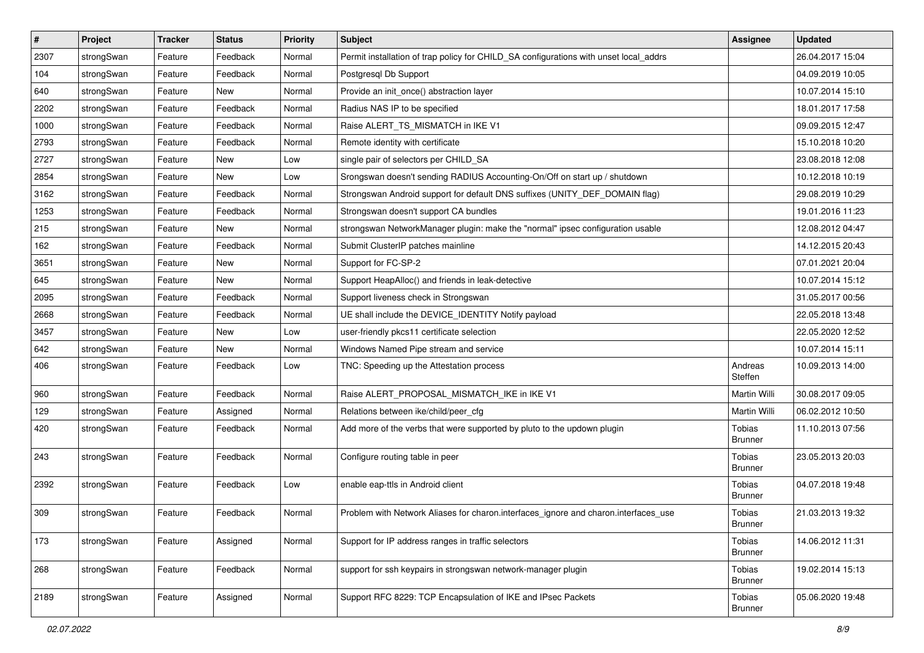| $\pmb{\#}$ | Project    | <b>Tracker</b> | <b>Status</b> | <b>Priority</b> | <b>Subject</b>                                                                        | <b>Assignee</b>                 | <b>Updated</b>   |
|------------|------------|----------------|---------------|-----------------|---------------------------------------------------------------------------------------|---------------------------------|------------------|
| 2307       | strongSwan | Feature        | Feedback      | Normal          | Permit installation of trap policy for CHILD_SA configurations with unset local_addrs |                                 | 26.04.2017 15:04 |
| 104        | strongSwan | Feature        | Feedback      | Normal          | Postgresql Db Support                                                                 |                                 | 04.09.2019 10:05 |
| 640        | strongSwan | Feature        | New           | Normal          | Provide an init_once() abstraction layer                                              |                                 | 10.07.2014 15:10 |
| 2202       | strongSwan | Feature        | Feedback      | Normal          | Radius NAS IP to be specified                                                         |                                 | 18.01.2017 17:58 |
| 1000       | strongSwan | Feature        | Feedback      | Normal          | Raise ALERT_TS_MISMATCH in IKE V1                                                     |                                 | 09.09.2015 12:47 |
| 2793       | strongSwan | Feature        | Feedback      | Normal          | Remote identity with certificate                                                      |                                 | 15.10.2018 10:20 |
| 2727       | strongSwan | Feature        | New           | Low             | single pair of selectors per CHILD_SA                                                 |                                 | 23.08.2018 12:08 |
| 2854       | strongSwan | Feature        | New           | Low             | Srongswan doesn't sending RADIUS Accounting-On/Off on start up / shutdown             |                                 | 10.12.2018 10:19 |
| 3162       | strongSwan | Feature        | Feedback      | Normal          | Strongswan Android support for default DNS suffixes (UNITY_DEF_DOMAIN flag)           |                                 | 29.08.2019 10:29 |
| 1253       | strongSwan | Feature        | Feedback      | Normal          | Strongswan doesn't support CA bundles                                                 |                                 | 19.01.2016 11:23 |
| 215        | strongSwan | Feature        | New           | Normal          | strongswan NetworkManager plugin: make the "normal" ipsec configuration usable        |                                 | 12.08.2012 04:47 |
| 162        | strongSwan | Feature        | Feedback      | Normal          | Submit ClusterIP patches mainline                                                     |                                 | 14.12.2015 20:43 |
| 3651       | strongSwan | Feature        | New           | Normal          | Support for FC-SP-2                                                                   |                                 | 07.01.2021 20:04 |
| 645        | strongSwan | Feature        | New           | Normal          | Support HeapAlloc() and friends in leak-detective                                     |                                 | 10.07.2014 15:12 |
| 2095       | strongSwan | Feature        | Feedback      | Normal          | Support liveness check in Strongswan                                                  |                                 | 31.05.2017 00:56 |
| 2668       | strongSwan | Feature        | Feedback      | Normal          | UE shall include the DEVICE_IDENTITY Notify payload                                   |                                 | 22.05.2018 13:48 |
| 3457       | strongSwan | Feature        | New           | Low             | user-friendly pkcs11 certificate selection                                            |                                 | 22.05.2020 12:52 |
| 642        | strongSwan | Feature        | New           | Normal          | Windows Named Pipe stream and service                                                 |                                 | 10.07.2014 15:11 |
| 406        | strongSwan | Feature        | Feedback      | Low             | TNC: Speeding up the Attestation process                                              | Andreas<br>Steffen              | 10.09.2013 14:00 |
| 960        | strongSwan | Feature        | Feedback      | Normal          | Raise ALERT_PROPOSAL_MISMATCH_IKE in IKE V1                                           | Martin Willi                    | 30.08.2017 09:05 |
| 129        | strongSwan | Feature        | Assigned      | Normal          | Relations between ike/child/peer_cfg                                                  | Martin Willi                    | 06.02.2012 10:50 |
| 420        | strongSwan | Feature        | Feedback      | Normal          | Add more of the verbs that were supported by pluto to the updown plugin               | <b>Tobias</b><br><b>Brunner</b> | 11.10.2013 07:56 |
| 243        | strongSwan | Feature        | Feedback      | Normal          | Configure routing table in peer                                                       | Tobias<br><b>Brunner</b>        | 23.05.2013 20:03 |
| 2392       | strongSwan | Feature        | Feedback      | Low             | enable eap-ttls in Android client                                                     | Tobias<br><b>Brunner</b>        | 04.07.2018 19:48 |
| 309        | strongSwan | Feature        | Feedback      | Normal          | Problem with Network Aliases for charon.interfaces_ignore and charon.interfaces_use   | Tobias<br><b>Brunner</b>        | 21.03.2013 19:32 |
| 173        | strongSwan | Feature        | Assigned      | Normal          | Support for IP address ranges in traffic selectors                                    | Tobias<br><b>Brunner</b>        | 14.06.2012 11:31 |
| 268        | strongSwan | Feature        | Feedback      | Normal          | support for ssh keypairs in strongswan network-manager plugin                         | Tobias<br><b>Brunner</b>        | 19.02.2014 15:13 |
| 2189       | strongSwan | Feature        | Assigned      | Normal          | Support RFC 8229: TCP Encapsulation of IKE and IPsec Packets                          | Tobias<br><b>Brunner</b>        | 05.06.2020 19:48 |